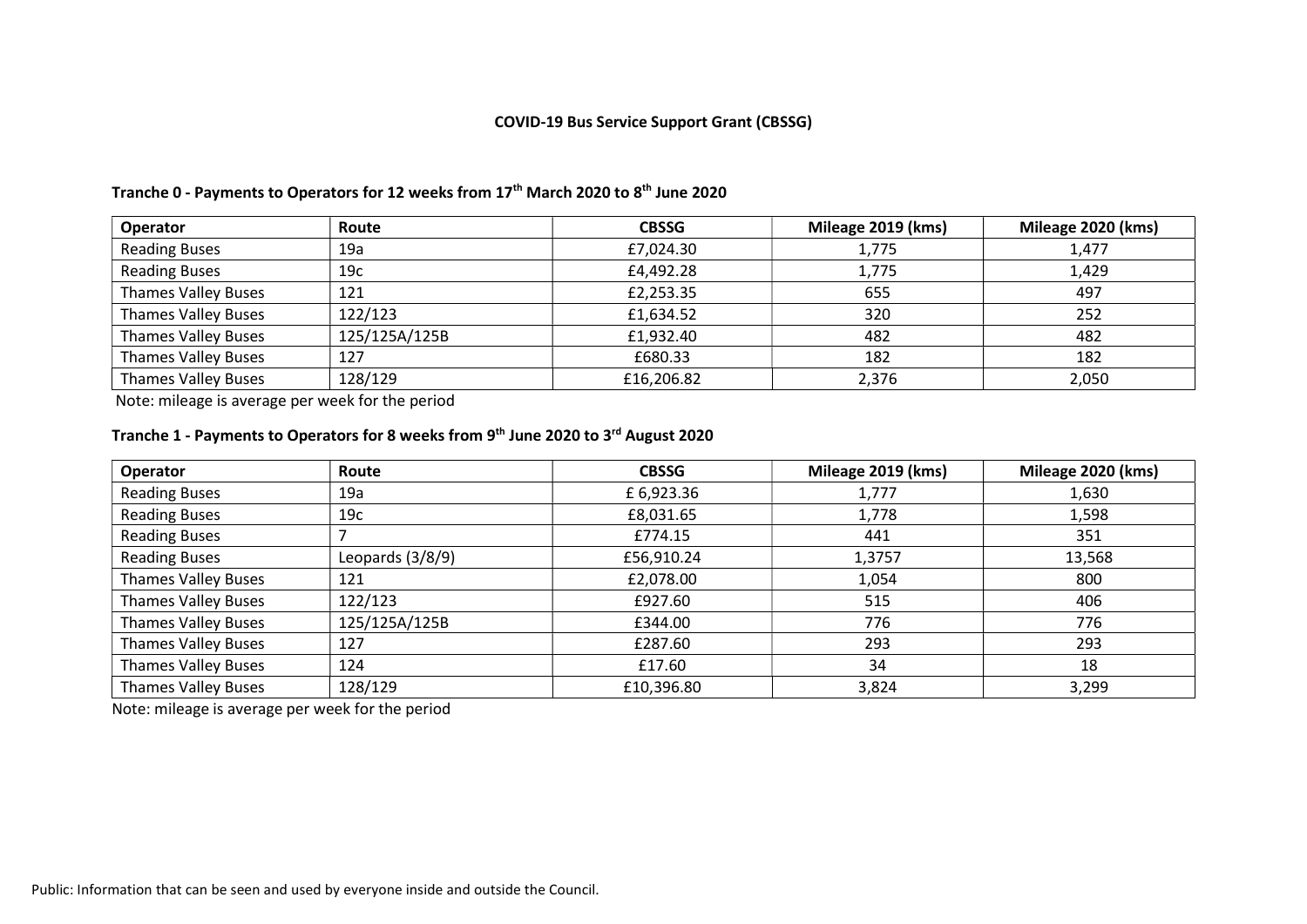#### COVID-19 Bus Service Support Grant (CBSSG)

| <b>Operator</b>            | Route         | <b>CBSSG</b> | Mileage 2019 (kms) | Mileage 2020 (kms) |
|----------------------------|---------------|--------------|--------------------|--------------------|
| <b>Reading Buses</b>       | 19a           | £7,024.30    | 1,775              | 1,477              |
| <b>Reading Buses</b>       | 19c           | £4,492.28    | 1,775              | 1,429              |
| <b>Thames Valley Buses</b> | 121           | £2,253.35    | 655                | 497                |
| <b>Thames Valley Buses</b> | 122/123       | £1,634.52    | 320                | 252                |
| <b>Thames Valley Buses</b> | 125/125A/125B | £1,932.40    | 482                | 482                |
| <b>Thames Valley Buses</b> | 127           | £680.33      | 182                | 182                |
| <b>Thames Valley Buses</b> | 128/129       | £16,206.82   | 2,376              | 2,050              |

#### Tranche 0 - Payments to Operators for 12 weeks from 17<sup>th</sup> March 2020 to 8<sup>th</sup> June 2020

Note: mileage is average per week for the period

### Tranche 1 - Payments to Operators for 8 weeks from 9<sup>th</sup> June 2020 to 3<sup>rd</sup> August 2020

| Operator                   | Route            | <b>CBSSG</b> | Mileage 2019 (kms) | Mileage 2020 (kms) |
|----------------------------|------------------|--------------|--------------------|--------------------|
| <b>Reading Buses</b>       | 19a              | £ 6,923.36   | 1,777              | 1,630              |
| <b>Reading Buses</b>       | 19c              | £8,031.65    | 1,778              | 1,598              |
| <b>Reading Buses</b>       |                  | £774.15      | 441                | 351                |
| <b>Reading Buses</b>       | Leopards (3/8/9) | £56,910.24   | 1,3757             | 13,568             |
| <b>Thames Valley Buses</b> | 121              | £2,078.00    | 1,054              | 800                |
| <b>Thames Valley Buses</b> | 122/123          | £927.60      | 515                | 406                |
| <b>Thames Valley Buses</b> | 125/125A/125B    | £344.00      | 776                | 776                |
| <b>Thames Valley Buses</b> | 127              | £287.60      | 293                | 293                |
| <b>Thames Valley Buses</b> | 124              | £17.60       | 34                 | 18                 |
| <b>Thames Valley Buses</b> | 128/129          | £10,396.80   | 3,824              | 3,299              |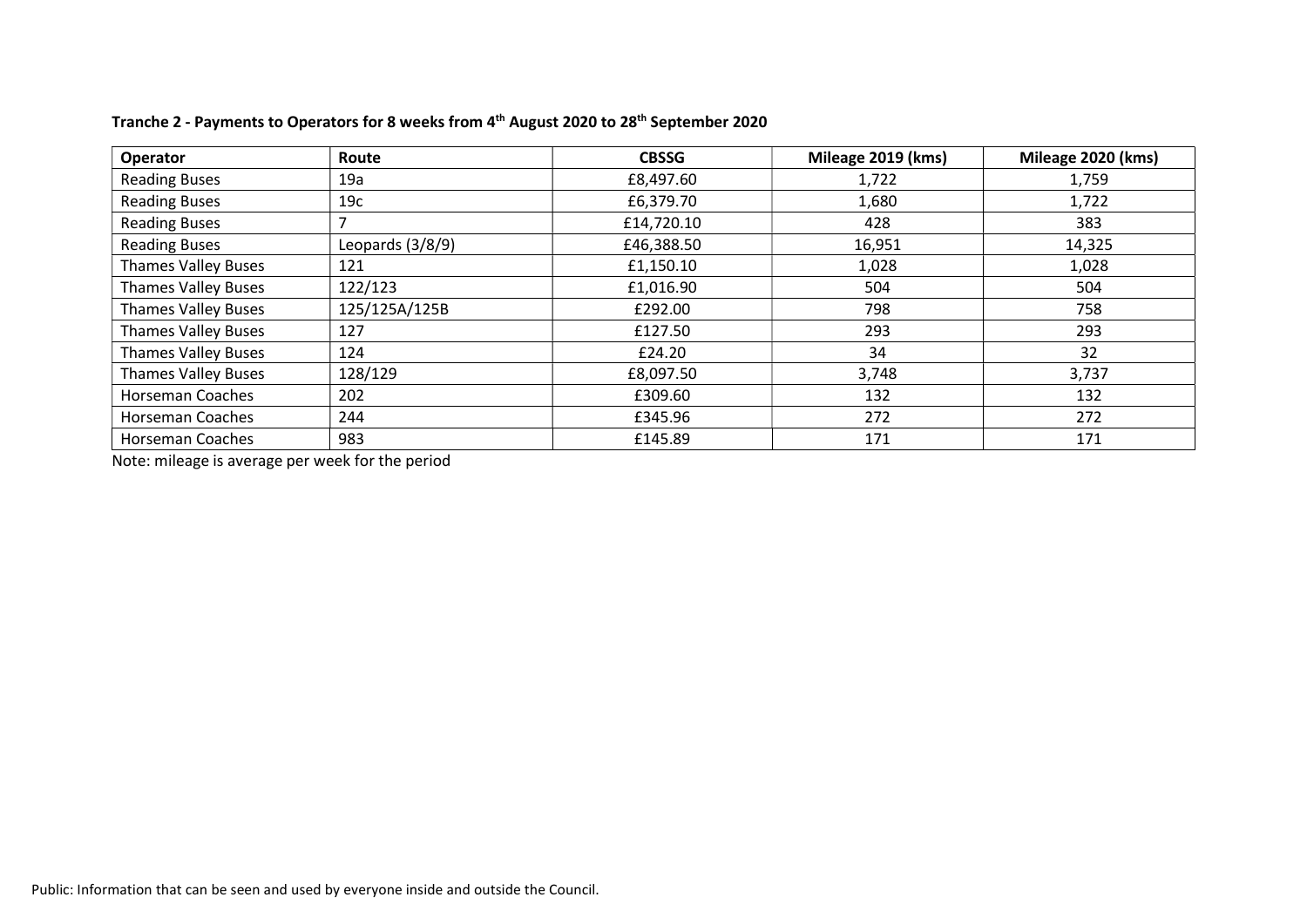| <b>Operator</b>            | Route            | <b>CBSSG</b> | Mileage 2019 (kms) | Mileage 2020 (kms) |
|----------------------------|------------------|--------------|--------------------|--------------------|
| <b>Reading Buses</b>       | 19a              | £8,497.60    | 1,722              | 1,759              |
| <b>Reading Buses</b>       | 19c              | £6,379.70    | 1,680              | 1,722              |
| <b>Reading Buses</b>       |                  | £14,720.10   | 428                | 383                |
| <b>Reading Buses</b>       | Leopards (3/8/9) | £46,388.50   | 16,951             | 14,325             |
| <b>Thames Valley Buses</b> | 121              | £1,150.10    | 1,028              | 1,028              |
| <b>Thames Valley Buses</b> | 122/123          | £1,016.90    | 504                | 504                |
| <b>Thames Valley Buses</b> | 125/125A/125B    | £292.00      | 798                | 758                |
| <b>Thames Valley Buses</b> | 127              | £127.50      | 293                | 293                |
| <b>Thames Valley Buses</b> | 124              | £24.20       | 34                 | 32                 |
| <b>Thames Valley Buses</b> | 128/129          | £8,097.50    | 3,748              | 3,737              |
| <b>Horseman Coaches</b>    | 202              | £309.60      | 132                | 132                |
| <b>Horseman Coaches</b>    | 244              | £345.96      | 272                | 272                |
| <b>Horseman Coaches</b>    | 983              | £145.89      | 171                | 171                |

### Tranche 2 - Payments to Operators for 8 weeks from 4<sup>th</sup> August 2020 to 28<sup>th</sup> September 2020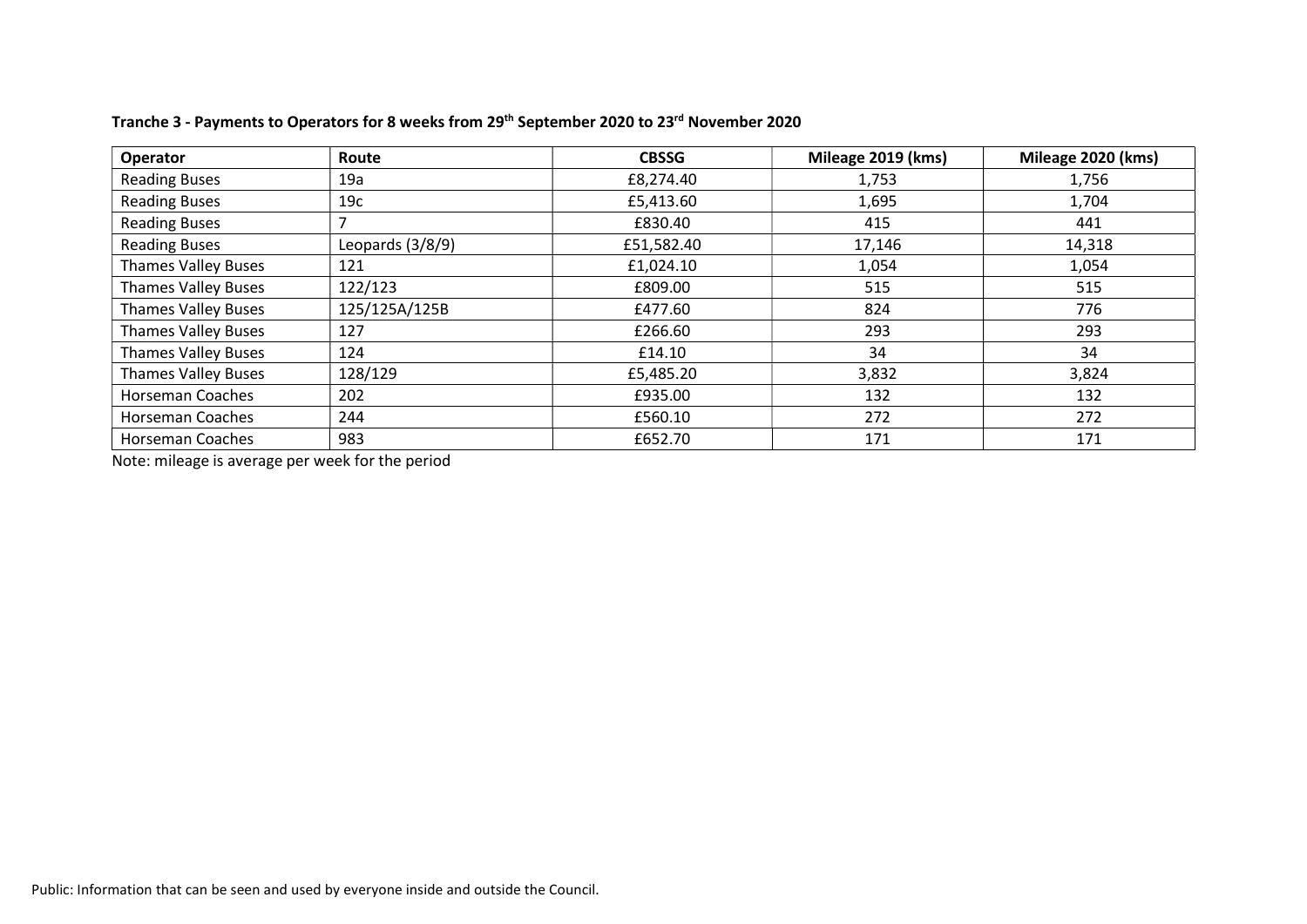| <b>Operator</b>            | Route            | <b>CBSSG</b> | Mileage 2019 (kms) | Mileage 2020 (kms) |
|----------------------------|------------------|--------------|--------------------|--------------------|
| <b>Reading Buses</b>       | 19a              | £8,274.40    | 1,753              | 1,756              |
| <b>Reading Buses</b>       | 19c              | £5,413.60    | 1,695              | 1,704              |
| <b>Reading Buses</b>       |                  | £830.40      | 415                | 441                |
| <b>Reading Buses</b>       | Leopards (3/8/9) | £51,582.40   | 17,146             | 14,318             |
| <b>Thames Valley Buses</b> | 121              | £1,024.10    | 1,054              | 1,054              |
| <b>Thames Valley Buses</b> | 122/123          | £809.00      | 515                | 515                |
| <b>Thames Valley Buses</b> | 125/125A/125B    | £477.60      | 824                | 776                |
| <b>Thames Valley Buses</b> | 127              | £266.60      | 293                | 293                |
| <b>Thames Valley Buses</b> | 124              | £14.10       | 34                 | 34                 |
| <b>Thames Valley Buses</b> | 128/129          | £5,485.20    | 3,832              | 3,824              |
| <b>Horseman Coaches</b>    | 202              | £935.00      | 132                | 132                |
| <b>Horseman Coaches</b>    | 244              | £560.10      | 272                | 272                |
| <b>Horseman Coaches</b>    | 983              | £652.70      | 171                | 171                |

### Tranche 3 - Payments to Operators for 8 weeks from 29<sup>th</sup> September 2020 to 23<sup>rd</sup> November 2020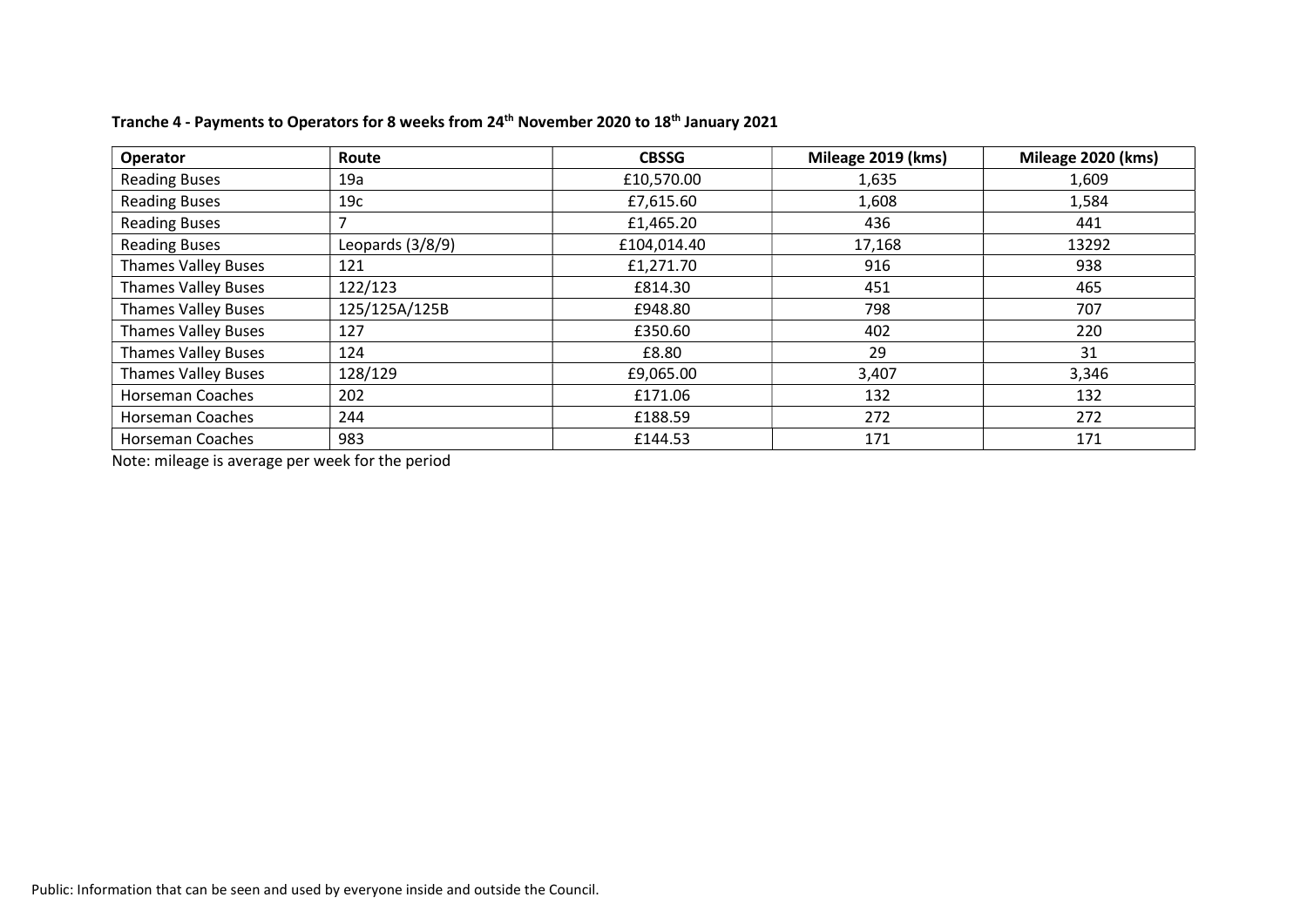| Operator                   | Route            | <b>CBSSG</b> | Mileage 2019 (kms) | Mileage 2020 (kms) |
|----------------------------|------------------|--------------|--------------------|--------------------|
| <b>Reading Buses</b>       | 19a              | £10,570.00   | 1,635              | 1,609              |
| <b>Reading Buses</b>       | 19c              | £7,615.60    | 1,608              | 1,584              |
| <b>Reading Buses</b>       |                  | £1,465.20    | 436                | 441                |
| <b>Reading Buses</b>       | Leopards (3/8/9) | £104,014.40  | 17,168             | 13292              |
| <b>Thames Valley Buses</b> | 121              | £1,271.70    | 916                | 938                |
| <b>Thames Valley Buses</b> | 122/123          | £814.30      | 451                | 465                |
| <b>Thames Valley Buses</b> | 125/125A/125B    | £948.80      | 798                | 707                |
| <b>Thames Valley Buses</b> | 127              | £350.60      | 402                | 220                |
| <b>Thames Valley Buses</b> | 124              | £8.80        | 29                 | 31                 |
| <b>Thames Valley Buses</b> | 128/129          | £9,065.00    | 3,407              | 3,346              |
| <b>Horseman Coaches</b>    | 202              | £171.06      | 132                | 132                |
| <b>Horseman Coaches</b>    | 244              | £188.59      | 272                | 272                |
| <b>Horseman Coaches</b>    | 983              | £144.53      | 171                | 171                |

### Tranche 4 - Payments to Operators for 8 weeks from 24<sup>th</sup> November 2020 to 18<sup>th</sup> January 2021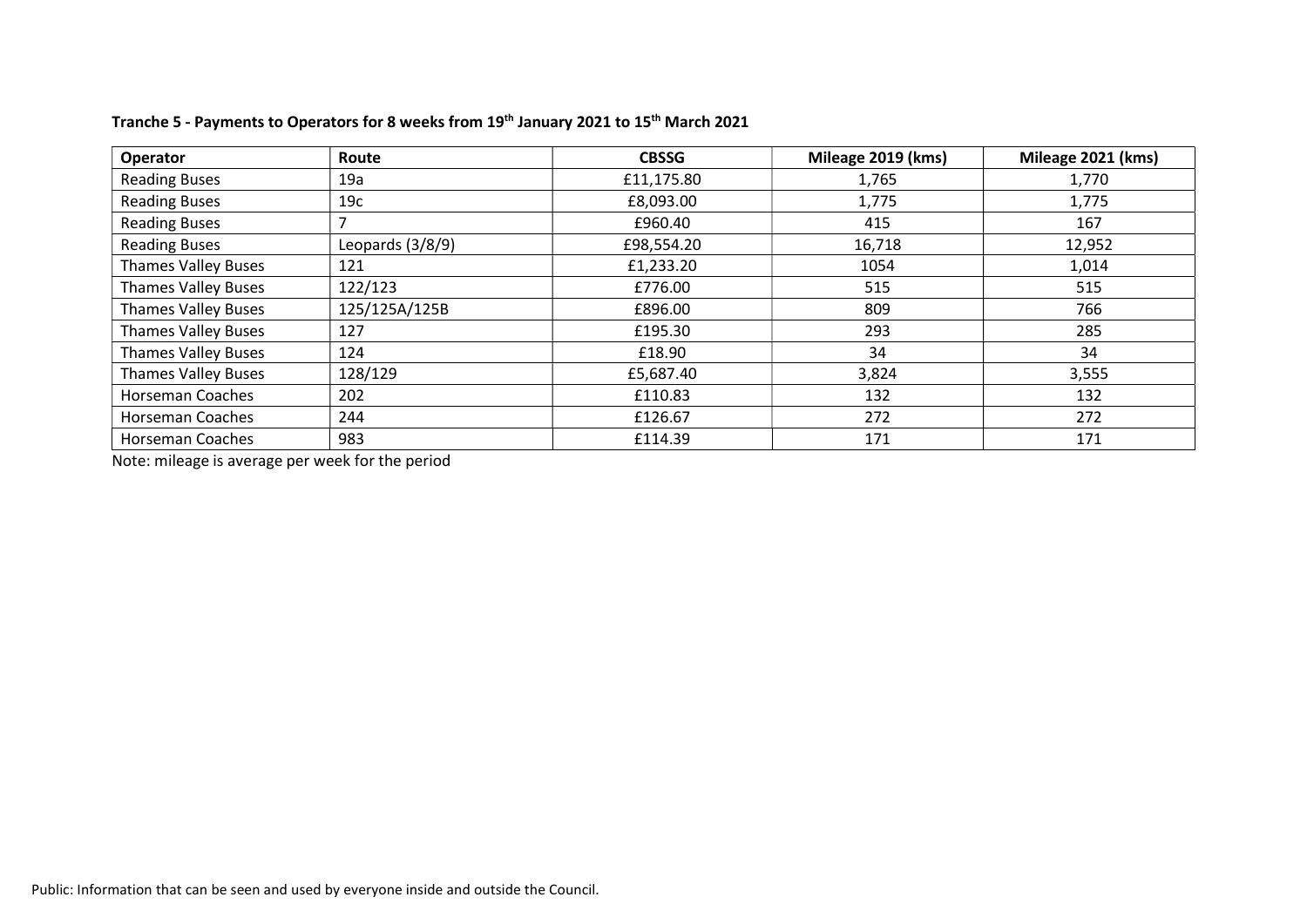| <b>Operator</b>            | Route            | <b>CBSSG</b> | Mileage 2019 (kms) | Mileage 2021 (kms) |
|----------------------------|------------------|--------------|--------------------|--------------------|
| <b>Reading Buses</b>       | 19a              | £11,175.80   | 1,765              | 1,770              |
| <b>Reading Buses</b>       | 19c              | £8,093.00    | 1,775              | 1,775              |
| <b>Reading Buses</b>       |                  | £960.40      | 415                | 167                |
| <b>Reading Buses</b>       | Leopards (3/8/9) | £98,554.20   | 16,718             | 12,952             |
| <b>Thames Valley Buses</b> | 121              | £1,233.20    | 1054               | 1,014              |
| <b>Thames Valley Buses</b> | 122/123          | £776.00      | 515                | 515                |
| <b>Thames Valley Buses</b> | 125/125A/125B    | £896.00      | 809                | 766                |
| <b>Thames Valley Buses</b> | 127              | £195.30      | 293                | 285                |
| <b>Thames Valley Buses</b> | 124              | £18.90       | 34                 | 34                 |
| <b>Thames Valley Buses</b> | 128/129          | £5,687.40    | 3,824              | 3,555              |
| <b>Horseman Coaches</b>    | 202              | £110.83      | 132                | 132                |
| <b>Horseman Coaches</b>    | 244              | £126.67      | 272                | 272                |
| <b>Horseman Coaches</b>    | 983              | £114.39      | 171                | 171                |

### Tranche 5 - Payments to Operators for 8 weeks from 19<sup>th</sup> January 2021 to 15<sup>th</sup> March 2021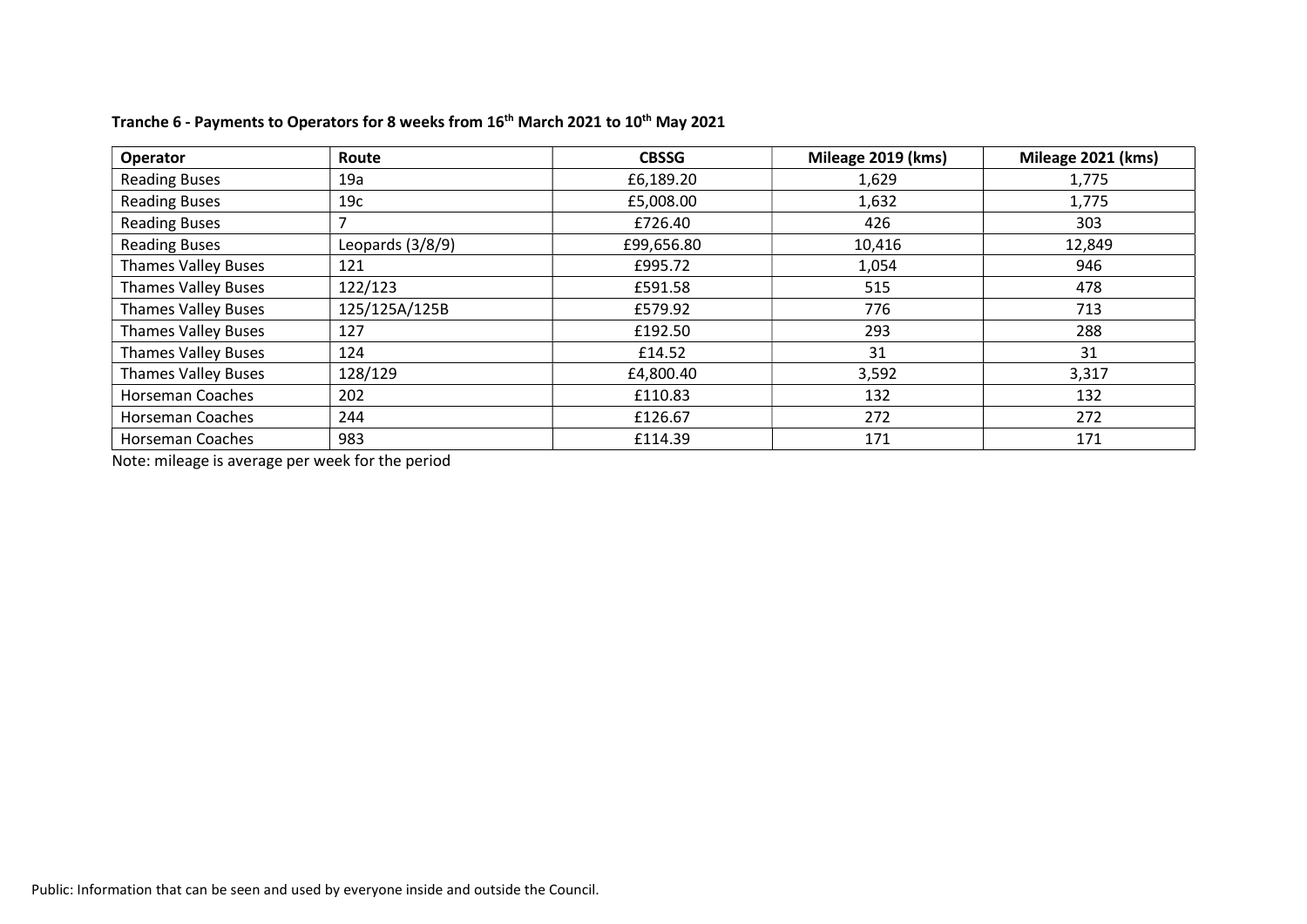| Operator                   | Route            | <b>CBSSG</b> | Mileage 2019 (kms) | Mileage 2021 (kms) |
|----------------------------|------------------|--------------|--------------------|--------------------|
| <b>Reading Buses</b>       | 19a              | £6,189.20    | 1,629              | 1,775              |
| <b>Reading Buses</b>       | 19c              | £5,008.00    | 1,632              | 1,775              |
| <b>Reading Buses</b>       |                  | £726.40      | 426                | 303                |
| <b>Reading Buses</b>       | Leopards (3/8/9) | £99,656.80   | 10,416             | 12,849             |
| <b>Thames Valley Buses</b> | 121              | £995.72      | 1,054              | 946                |
| <b>Thames Valley Buses</b> | 122/123          | £591.58      | 515                | 478                |
| <b>Thames Valley Buses</b> | 125/125A/125B    | £579.92      | 776                | 713                |
| <b>Thames Valley Buses</b> | 127              | £192.50      | 293                | 288                |
| <b>Thames Valley Buses</b> | 124              | £14.52       | 31                 | 31                 |
| <b>Thames Valley Buses</b> | 128/129          | £4,800.40    | 3,592              | 3,317              |
| <b>Horseman Coaches</b>    | 202              | £110.83      | 132                | 132                |
| <b>Horseman Coaches</b>    | 244              | £126.67      | 272                | 272                |
| <b>Horseman Coaches</b>    | 983              | £114.39      | 171                | 171                |

# Tranche 6 - Payments to Operators for 8 weeks from 16<sup>th</sup> March 2021 to 10<sup>th</sup> May 2021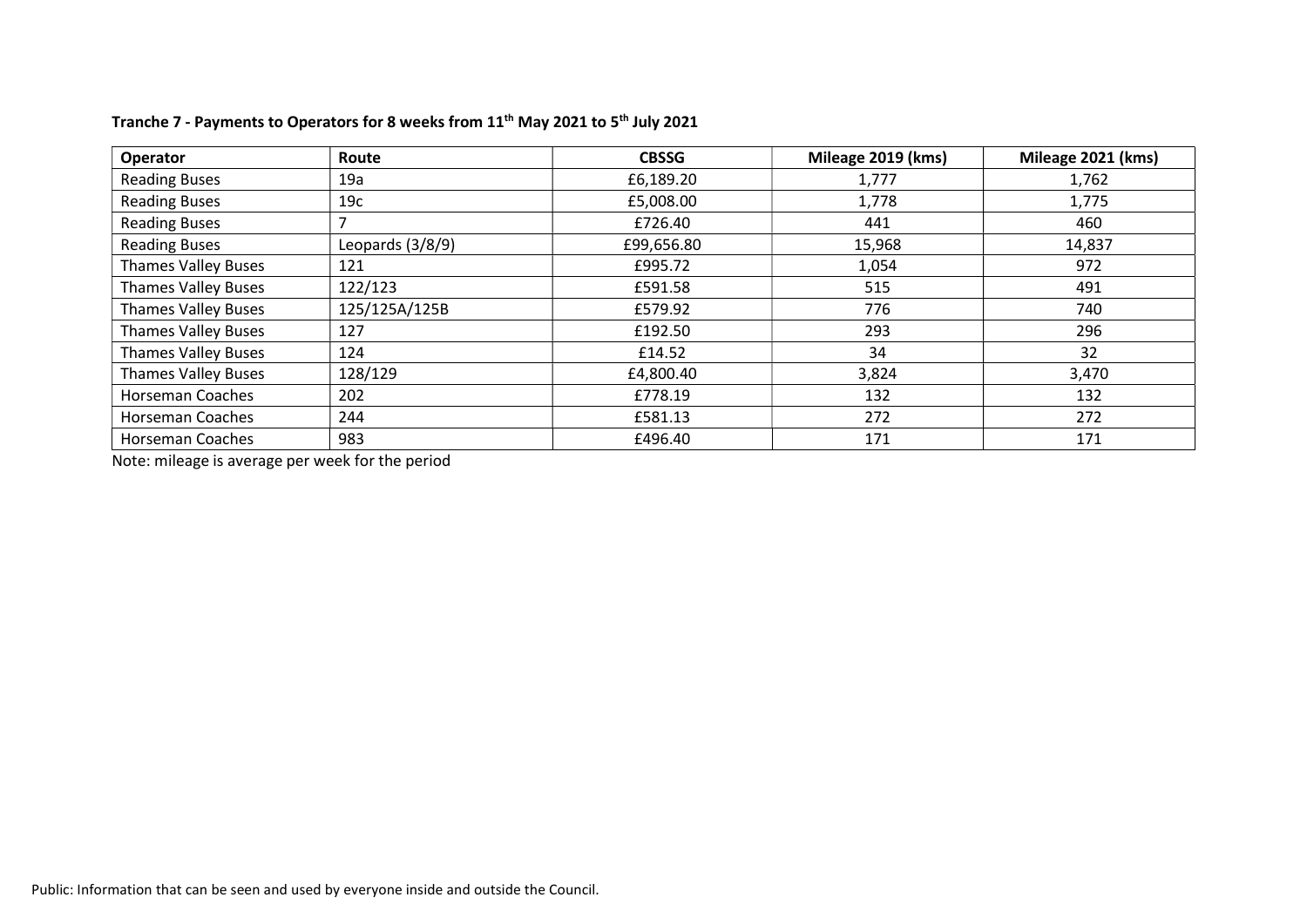| <b>Operator</b>            | Route            | <b>CBSSG</b> | Mileage 2019 (kms) | Mileage 2021 (kms) |
|----------------------------|------------------|--------------|--------------------|--------------------|
| <b>Reading Buses</b>       | 19a              | £6,189.20    | 1,777              | 1,762              |
| <b>Reading Buses</b>       | 19c              | £5,008.00    | 1,778              | 1,775              |
| <b>Reading Buses</b>       |                  | £726.40      | 441                | 460                |
| <b>Reading Buses</b>       | Leopards (3/8/9) | £99,656.80   | 15,968             | 14,837             |
| <b>Thames Valley Buses</b> | 121              | £995.72      | 1,054              | 972                |
| <b>Thames Valley Buses</b> | 122/123          | £591.58      | 515                | 491                |
| <b>Thames Valley Buses</b> | 125/125A/125B    | £579.92      | 776                | 740                |
| <b>Thames Valley Buses</b> | 127              | £192.50      | 293                | 296                |
| <b>Thames Valley Buses</b> | 124              | £14.52       | 34                 | 32                 |
| <b>Thames Valley Buses</b> | 128/129          | £4,800.40    | 3,824              | 3,470              |
| <b>Horseman Coaches</b>    | 202              | £778.19      | 132                | 132                |
| <b>Horseman Coaches</b>    | 244              | £581.13      | 272                | 272                |
| <b>Horseman Coaches</b>    | 983              | £496.40      | 171                | 171                |

## Tranche 7 - Payments to Operators for 8 weeks from 11<sup>th</sup> May 2021 to 5<sup>th</sup> July 2021